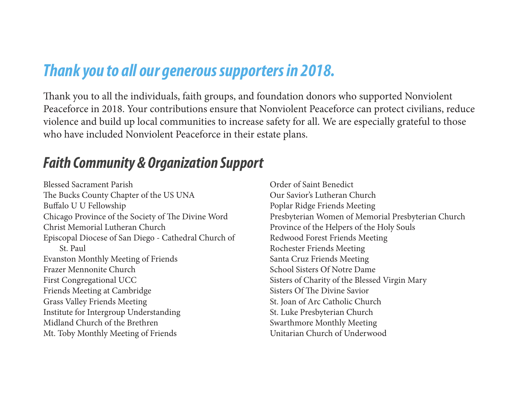# *Thank you to all our generous supporters in 2018.*

Thank you to all the individuals, faith groups, and foundation donors who supported Nonviolent Peaceforce in 2018. Your contributions ensure that Nonviolent Peaceforce can protect civilians, reduce violence and build up local communities to increase safety for all. We are especially grateful to those who have included Nonviolent Peaceforce in their estate plans.

# *Faith Community & Organization Support*

Blessed Sacrament Parish The Bucks County Chapter of the US UNA Bu falo U U Fellowship Chicago Province of the Society of The Divine Word Christ Memorial Lutheran Church Episcopal Diocese of San Diego - Cathedral Church of St. Paul Evanston Monthly Meeting of Friends Frazer Mennonite Church First Congregational UCC Friends Meeting at Cambridge Grass Valley Friends Meeting Institute for Intergroup Understanding Midland Church of the Brethren Mt. Toby Monthly Meeting of Friends

Order of Saint Benedict Our Savior's Lutheran Church Poplar Ridge Friends Meeting Presbyterian Women of Memorial Presbyterian Church Province of the Helpers of the Holy Souls Redwood Forest Friends Meeting Rochester Friends Meeting Santa Cruz Friends Meeting School Sisters Of Notre Dame Sisters of Charity of the Blessed Virgin Mary Sisters Of The Divine Savior St. Joan of Arc Catholic Church St. Luke Presbyterian Church Swarthmore Monthly Meeting Unitarian Church of Underwood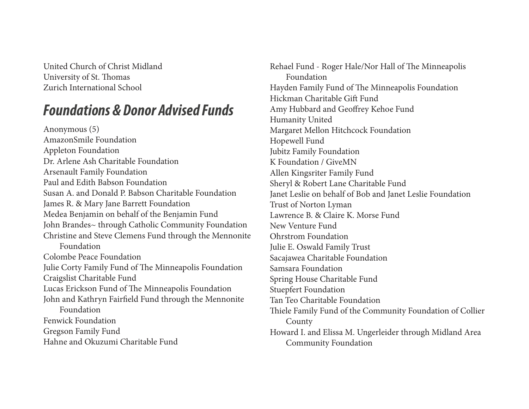United Church of Christ Midland University of St. Tomas Zurich International School

## *Foundations & Donor Advised Funds*

Anonymous (5) AmazonSmile Foundation Appleton Foundation Dr. Arlene Ash Charitable Foundation Arsenault Family Foundation Paul and Edith Babson Foundation Susan A. and Donald P. Babson Charitable Foundation James R. & Mary Jane Barrett Foundation Medea Benjamin on behalf of the Benjamin Fund John Brandes~ through Catholic Community Foundation Christine and Steve Clemens Fund through the Mennonite Foundation Colombe Peace Foundation Julie Corty Family Fund of The Minneapolis Foundation Craigslist Charitable Fund Lucas Erickson Fund of The Minneapolis Foundation John and Kathryn Fair feld Fund through the Mennonite Foundation Fenwick Foundation Gregson Family Fund Hahne and Okuzumi Charitable Fund

Rehael Fund - Roger Hale/Nor Hall of The Minneapolis Foundation Hayden Family Fund of Te Minneapolis Foundation Hickman Charitable Gi f Fund Amy Hubbard and Geo frey Kehoe Fund Humanity United Margaret Mellon Hitchcock Foundation Hopewell Fund Jubitz Family Foundation K Foundation / GiveMN Allen Kingsriter Family Fund Sheryl & Robert Lane Charitable Fund Janet Leslie on behalf of Bob and Janet Leslie Foundation Trust of Norton Lyman Lawrence B. & Claire K. Morse Fund New Venture Fund Ohrstrom Foundation Julie E. Oswald Family Trust Sacajawea Charitable Foundation Samsara Foundation Spring House Charitable Fund Stuepfert Foundation Tan Teo Charitable Foundation Thiele Family Fund of the Community Foundation of Collier County Howard I. and Elissa M. Ungerleider through Midland Area Community Foundation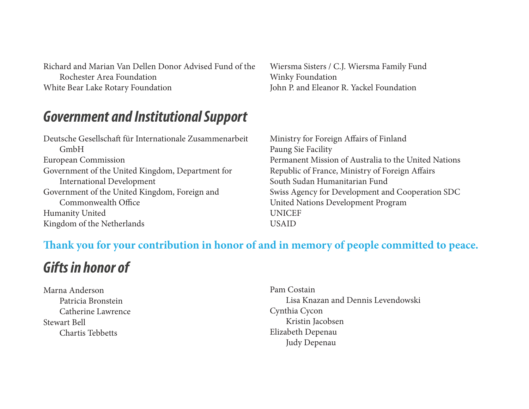Richard and Marian Van Dellen Donor Advised Fund of the Rochester Area Foundation White Bear Lake Rotary Foundation

### *Government and Institutional Support*

Deutsche Gesellschaft für Internationale Zusammenarbeit GmbH European Commission Government of the United Kingdom, Department for International Development Government of the United Kingdom, Foreign and Commonwealth Office Humanity United Kingdom of the Netherlands

Wiersma Sisters / C.J. Wiersma Family Fund Winky Foundation John P. and Eleanor R. Yackel Foundation

Ministry for Foreign Afairs of Finland Paung Sie Facility Permanent Mission of Australia to the United Nations Republic of France, Ministry of Foreign Afairs South Sudan Humanitarian Fund Swiss Agency for Development and Cooperation SDC United Nations Development Program UNICEF USAID

#### **Tank you for your contribution in honor of and in memory of people committed to peace.**

# *Gifts in honor of*

Marna Anderson Patricia Bronstein Catherine Lawrence Stewart Bell Chartis Tebbetts

Pam Costain Lisa Knazan and Dennis Levendowski Cynthia Cycon Kristin Jacobsen Elizabeth Depenau Judy Depenau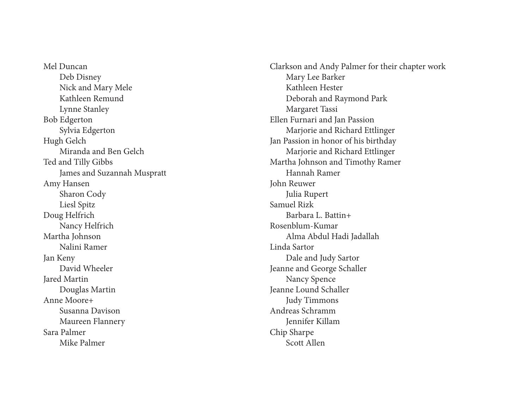Mel Duncan Deb Disney Nick and Mary Mele Kathleen Remund Lynne Stanley Bob Edgerton Sylvia Edgerton Hugh Gelch Miranda and Ben Gelch Ted and Tilly Gibbs James and Suzannah Muspratt Amy Hansen Sharon Cody Liesl Spitz Doug Helfrich Nancy Helfrich Martha Johnson Nalini Ramer Jan Keny David Wheeler Jared Martin Douglas Martin Anne Moore+ Susanna Davison Maureen Flannery Sara Palmer Mike Palmer

Clarkson and Andy Palmer for their chapter work Mary Lee Barker Kathleen Hester Deborah and Raymond Park Margaret Tassi Ellen Furnari and Jan Passion Marjorie and Richard Ettlinger Jan Passion in honor of his birthday Marjorie and Richard Ettlinger Martha Johnson and Timothy Ramer Hannah Ramer John Reuwer Julia Rupert Samuel Rizk Barbara L. Battin+ Rosenblum-Kumar Alma Abdul Hadi Jadallah Linda Sartor Dale and Judy Sartor Jeanne and George Schaller Nancy Spence Jeanne Lound Schaller Judy Timmons Andreas Schramm Jennifer Killam Chip Sharpe Scott Allen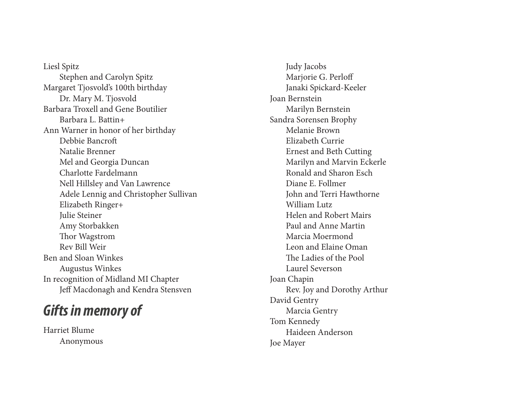Liesl Spitz Stephen and Carolyn Spitz Margaret Tjosvold's 100th birthday Dr. Mary M. Tjosvold Barbara Troxell and Gene Boutilier Barbara L. Battin+ Ann Warner in honor of her birthday Debbie Bancro f Natalie Brenner Mel and Georgia Duncan Charlotte Fardelmann Nell Hillsley and Van Lawrence Adele Lennig and Christopher Sullivan Elizabeth Ringer+ Julie Steiner Amy Storbakken Thor Wagstrom Rev Bill Weir Ben and Sloan Winkes Augustus Winkes In recognition of Midland MI Chapter Je f Macdonagh and Kendra Stensven

### *Gifts in memory of*

Harriet Blume Anonymous

 Judy Jacobs Marjorie G. Perlo f Janaki Spickard-Keeler Joan Bernstein Marilyn Bernstein Sandra Sorensen Brophy Melanie Brown Elizabeth Currie Ernest and Beth Cutting Marilyn and Marvin Eckerle Ronald and Sharon Esch Diane E. Follmer John and Terri Hawthorne William Lutz Helen and Robert Mairs Paul and Anne Martin Marcia Moermond Leon and Elaine Oman The Ladies of the Pool Laurel Severson Joan Chapin Rev. Joy and Dorothy Arthur David Gentry Marcia Gentry Tom Kennedy Haideen Anderson Joe Mayer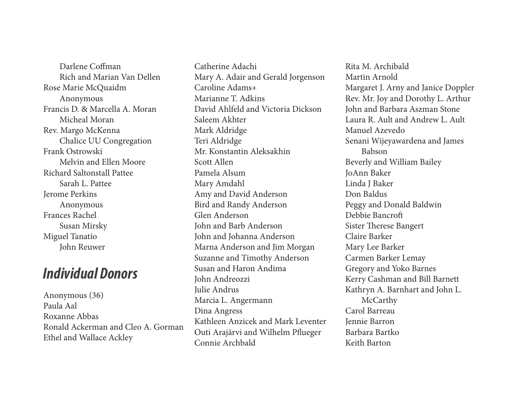Darlene Cofman Rich and Marian Van Dellen Rose Marie McQuaidm Anonymous Francis D. & Marcella A. Moran Micheal Moran Rev. Margo McKenna Chalice UU Congregation Frank Ostrowski Melvin and Ellen Moore Richard Saltonstall Pattee Sarah L. Pattee Jerome Perkins Anonymous Frances Rachel Susan Mirsky Miguel Tanatío John Reuwer

### *Individual Donors*

Anonymous (36) Paula Aal Roxanne Abbas Ronald Ackerman and Cleo A. Gorman Ethel and Wallace Ackley

Catherine Adachi Mary A. Adair and Gerald Jorgenson Caroline Adams+ Marianne T. Adkins David Ahlfeld and Victoria Dickson Saleem Akhter Mark Aldridge Teri Aldridge Mr. Konstantin Aleksakhin Scott Allen Pamela Alsum Mary Amdahl Amy and David Anderson Bird and Randy Anderson Glen Anderson John and Barb Anderson John and Johanna Anderson Marna Anderson and Jim Morgan Suzanne and Timothy Anderson Susan and Haron Andima John Andreozzi Julie Andrus Marcia L. Angermann Dina Angress Kathleen Anzicek and Mark Leventer Outi Arajärvi and Wilhelm Pfueger Connie Archbald

Rita M. Archibald Martin Arnold Margaret J. Arny and Janice Doppler Rev. Mr. Joy and Dorothy L. Arthur John and Barbara Aszman Stone Laura R. Ault and Andrew L. Ault Manuel Azevedo Senani Wijeyawardena and James Babson Beverly and William Bailey JoAnn Baker Linda J Baker Don Baldus Peggy and Donald Baldwin Debbie Bancrof Sister Therese Bangert Claire Barker Mary Lee Barker Carmen Barker Lemay Gregory and Yoko Barnes Kerry Cashman and Bill Barnett Kathryn A. Barnhart and John L. **McCarthy** Carol Barreau Jennie Barron Barbara Bartko Keith Barton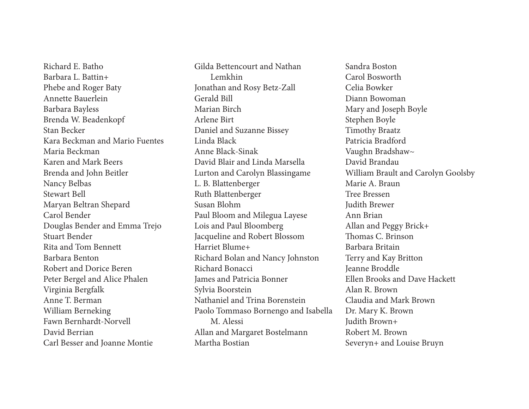Richard E. Batho Barbara L. Battin+ Phebe and Roger Baty Annette Bauerlein Barbara Bayless Brenda W. Beadenkopf Stan Becker Kara Beckman and Mario Fuentes Maria Beckman Karen and Mark Beers Brenda and John Beitler Nancy Belbas Stewart Bell Maryan Beltran Shepard Carol Bender Douglas Bender and Emma Trejo Stuart Bender Rita and Tom Bennett Barbara Benton Robert and Dorice Beren Peter Bergel and Alice Phalen Virginia Bergfalk Anne T. Berman William Berneking Fawn Bernhardt-Norvell David Berrian Carl Besser and Joanne Montie

Gilda Bettencourt and Nathan Lemkhin Jonathan and Rosy Betz-Zall Gerald Bill Marian Birch Arlene Birt Daniel and Suzanne Bissey Linda Black Anne Black-Sinak David Blair and Linda Marsella Lurton and Carolyn Blassingame L. B. Blattenberger Ruth Blattenberger Susan Blohm Paul Bloom and Milegua Layese Lois and Paul Bloomberg Jacqueline and Robert Blossom Harriet Blume+ Richard Bolan and Nancy Johnston Richard Bonacci James and Patricia Bonner Sylvia Boorstein Nathaniel and Trina Borenstein Paolo Tommaso Bornengo and Isabella M. Alessi Allan and Margaret Bostelmann Martha Bostian

Sandra Boston Carol Bosworth Celia Bowker Diann Bowoman Mary and Joseph Boyle Stephen Boyle Timothy Braatz Patricia Bradford Vaughn Bradshaw~ David Brandau William Brault and Carolyn Goolsby Marie A. Braun Tree Bressen Judith Brewer Ann Brian Allan and Peggy Brick+ Thomas C. Brinson Barbara Britain Terry and Kay Britton Jeanne Broddle Ellen Brooks and Dave Hackett Alan R. Brown Claudia and Mark Brown Dr. Mary K. Brown Judith Brown+ Robert M. Brown Severyn+ and Louise Bruyn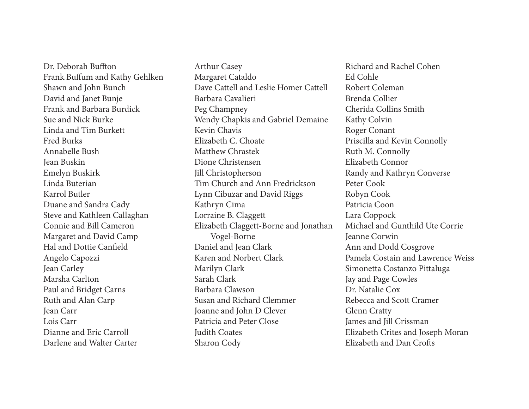Dr. Deborah Buffton Frank Bufum and Kathy Gehlken Shawn and John Bunch David and Janet Bunje Frank and Barbara Burdick Sue and Nick Burke Linda and Tim Burkett Fred Burks Annabelle Bush Jean Buskin Emelyn Buskirk Linda Buterian Karrol Butler Duane and Sandra Cady Steve and Kathleen Callaghan Connie and Bill Cameron Margaret and David Camp Hal and Dottie Canfeld Angelo Capozzi Jean Carley Marsha Carlton Paul and Bridget Carns Ruth and Alan Carp Jean Carr Lois Carr Dianne and Eric Carroll Darlene and Walter Carter

Arthur Casey Margaret Cataldo Dave Cattell and Leslie Homer Cattell Barbara Cavalieri Peg Champney Wendy Chapkis and Gabriel Demaine Kevin Chavis Elizabeth C. Choate Matthew Chrastek Dione Christensen Jill Christopherson Tim Church and Ann Fredrickson Lynn Cibuzar and David Riggs Kathryn Cima Lorraine B. Claggett Elizabeth Claggett-Borne and Jonathan Vogel-Borne Daniel and Jean Clark Karen and Norbert Clark Marilyn Clark Sarah Clark Barbara Clawson Susan and Richard Clemmer Joanne and John D Clever Patricia and Peter Close Judith Coates Sharon Cody

Richard and Rachel Cohen Ed Cohle Robert Coleman Brenda Collier Cherida Collins Smith Kathy Colvin Roger Conant Priscilla and Kevin Connolly Ruth M. Connolly Elizabeth Connor Randy and Kathryn Converse Peter Cook Robyn Cook Patricia Coon Lara Coppock Michael and Gunthild Ute Corrie Jeanne Corwin Ann and Dodd Cosgrove Pamela Costain and Lawrence Weiss Simonetta Costanzo Pittaluga Jay and Page Cowles Dr. Natalie Cox Rebecca and Scott Cramer Glenn Cratty James and Jill Crissman Elizabeth Crites and Joseph Moran Elizabeth and Dan Crofs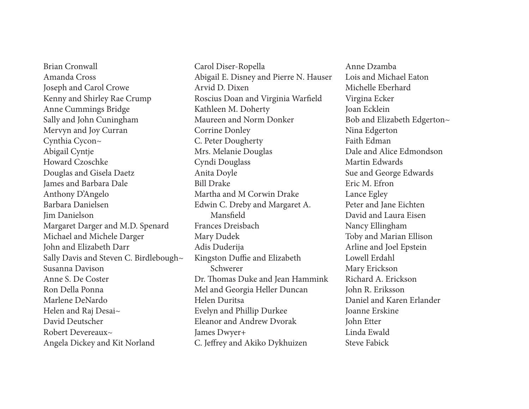Brian Cronwall Amanda Cross Joseph and Carol Crowe Kenny and Shirley Rae Crump Anne Cummings Bridge Sally and John Cuningham Mervyn and Joy Curran Cynthia Cycon~ Abigail Cyntje Howard Czoschke Douglas and Gisela Daetz James and Barbara Dale Anthony D'Angelo Barbara Danielsen Jim Danielson Margaret Darger and M.D. Spenard Michael and Michele Darger John and Elizabeth Darr Sally Davis and Steven C. Birdlebough~ Susanna Davison Anne S. De Coster Ron Della Ponna Marlene DeNardo Helen and Raj Desai~ David Deutscher Robert Devereaux~ Angela Dickey and Kit Norland

Carol Diser-Ropella Abigail E. Disney and Pierre N. Hauser Arvid D. Dixen Roscius Doan and Virginia Warfeld Kathleen M. Doherty Maureen and Norm Donker Corrine Donley C. Peter Dougherty Mrs. Melanie Douglas Cyndi Douglass Anita Doyle Bill Drake Martha and M Corwin Drake Edwin C. Dreby and Margaret A. Mansfeld Frances Dreisbach Mary Dudek Adis Duderija Kingston Duffie and Elizabeth Schwerer Dr. Thomas Duke and Jean Hammink Mel and Georgia Heller Duncan Helen Duritsa Evelyn and Phillip Durkee Eleanor and Andrew Dvorak James Dwyer+ C. Jefrey and Akiko Dykhuizen

Anne Dzamba Lois and Michael Eaton Michelle Eberhard Virgina Ecker Joan Ecklein Bob and Elizabeth Edgerton~ Nina Edgerton Faith Edman Dale and Alice Edmondson Martin Edwards Sue and George Edwards Eric M. Efron Lance Egley Peter and Jane Eichten David and Laura Eisen Nancy Ellingham Toby and Marian Ellison Arline and Joel Epstein Lowell Erdahl Mary Erickson Richard A. Erickson John R. Eriksson Daniel and Karen Erlander Joanne Erskine John Etter Linda Ewald Steve Fabick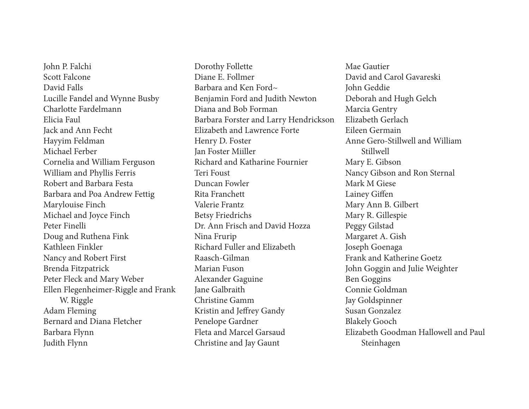John P. Falchi Scott Falcone David Falls Lucille Fandel and Wynne Busby Charlotte Fardelmann Elicia Faul Jack and Ann Fecht Hayyim Feldman Michael Ferber Cornelia and William Ferguson William and Phyllis Ferris Robert and Barbara Festa Barbara and Poa Andrew Fettig Marylouise Finch Michael and Joyce Finch Peter Finelli Doug and Ruthena Fink Kathleen Finkler Nancy and Robert First Brenda Fitzpatrick Peter Fleck and Mary Weber Ellen Flegenheimer-Riggle and Frank W. Riggle Adam Fleming Bernard and Diana Fletcher Barbara Flynn Judith Flynn

Dorothy Follette Diane E. Follmer Barbara and Ken Ford~ Benjamin Ford and Judith Newton Diana and Bob Forman Barbara Forster and Larry Hendrickson Elizabeth and Lawrence Forte Henry D. Foster Jan Foster Miiller Richard and Katharine Fournier Teri Foust Duncan Fowler Rita Franchett Valerie Frantz Betsy Friedrichs Dr. Ann Frisch and David Hozza Nina Frurip Richard Fuller and Elizabeth Raasch-Gilman Marian Fuson Alexander Gaguine Jane Galbraith Christine Gamm Kristin and Jefrey Gandy Penelope Gardner Fleta and Marcel Garsaud Christine and Jay Gaunt

Mae Gautier David and Carol Gavareski John Geddie Deborah and Hugh Gelch Marcia Gentry Elizabeth Gerlach Eileen Germain Anne Gero-Stillwell and William Stillwell Mary E. Gibson Nancy Gibson and Ron Sternal Mark M Giese Lainey Gifen Mary Ann B. Gilbert Mary R. Gillespie Peggy Gilstad Margaret A. Gish Joseph Goenaga Frank and Katherine Goetz John Goggin and Julie Weighter Ben Goggins Connie Goldman Jay Goldspinner Susan Gonzalez Blakely Gooch Elizabeth Goodman Hallowell and Paul Steinhagen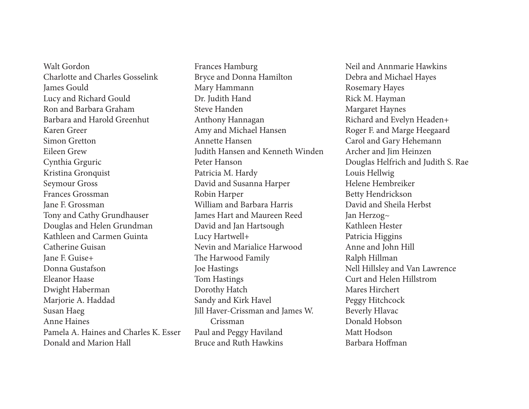Walt Gordon Charlotte and Charles Gosselink James Gould Lucy and Richard Gould Ron and Barbara Graham Barbara and Harold Greenhut Karen Greer Simon Gretton Eileen Grew Cynthia Grguric Kristina Gronquist Seymour Gross Frances Grossman Jane F. Grossman Tony and Cathy Grundhauser Douglas and Helen Grundman Kathleen and Carmen Guinta Catherine Guisan Jane F. Guise+ Donna Gustafson Eleanor Haase Dwight Haberman Marjorie A. Haddad Susan Haeg Anne Haines Pamela A. Haines and Charles K. Esser Donald and Marion Hall

Frances Hamburg Bryce and Donna Hamilton Mary Hammann Dr. Judith Hand Steve Handen Anthony Hannagan Amy and Michael Hansen Annette Hansen Judith Hansen and Kenneth Winden Peter Hanson Patricia M. Hardy David and Susanna Harper Robin Harper William and Barbara Harris James Hart and Maureen Reed David and Jan Hartsough Lucy Hartwell+ Nevin and Marialice Harwood The Harwood Family Joe Hastings Tom Hastings Dorothy Hatch Sandy and Kirk Havel Jill Haver-Crissman and James W. Crissman Paul and Peggy Haviland Bruce and Ruth Hawkins

Neil and Annmarie Hawkins Debra and Michael Hayes Rosemary Hayes Rick M. Hayman Margaret Haynes Richard and Evelyn Headen+ Roger F. and Marge Heegaard Carol and Gary Hehemann Archer and Jim Heinzen Douglas Helfrich and Judith S. Rae Louis Hellwig Helene Hembreiker Betty Hendrickson David and Sheila Herbst Jan Herzog~ Kathleen Hester Patricia Higgins Anne and John Hill Ralph Hillman Nell Hillsley and Van Lawrence Curt and Helen Hillstrom Mares Hirchert Peggy Hitchcock Beverly Hlavac Donald Hobson Matt Hodson Barbara Hofman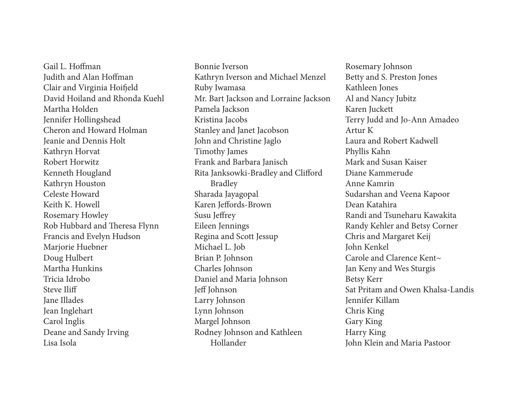Gail L. Hofman Judith and Alan Hofman Clair and Virginia Hoifeld David Hoiland and Rhonda Kuehl Martha Holden Jennifer Hollingshead Cheron and Howard Holman Jeanie and Dennis Holt Kathryn Horvat Robert Horwitz Kenneth Hougland Kathryn Houston Celeste Howard Keith K. Howell Rosemary Howley Rob Hubbard and Theresa Flynn Francis and Evelyn Hudson Marjorie Huebner Doug Hulbert Martha Hunkins Tricia Idrobo Steve Iliff Jane Illades Jean Inglehart Carol Inglis Deane and Sandy Irving Lisa Isola

Bonnie Iverson Kathryn Iverson and Michael Menzel Ruby Iwamasa Mr. Bart Jackson and Lorraine Jackson Pamela Jackson Kristina Jacobs Stanley and Janet Jacobson John and Christine Jaglo Timothy James Frank and Barbara Janisch Rita Janksowki-Bradley and Cliford Bradley Sharada Jayagopal Karen Jefords-Brown Susu Jefrey Eileen Jennings Regina and Scott Jessup Michael L. Job Brian P. Johnson Charles Johnson Daniel and Maria Johnson Jeff Johnson Larry Johnson Lynn Johnson Margel Johnson Rodney Johnson and Kathleen Hollander

Rosemary Johnson Betty and S. Preston Jones Kathleen Jones Al and Nancy Jubitz Karen Juckett Terry Judd and Jo-Ann Amadeo Artur K Laura and Robert Kadwell Phyllis Kahn Mark and Susan Kaiser Diane Kammerude Anne Kamrin Sudarshan and Veena Kapoor Dean Katahira Randi and Tsuneharu Kawakita Randy Kehler and Betsy Corner Chris and Margaret Keij John Kenkel Carole and Clarence Kent~ Jan Keny and Wes Sturgis Betsy Kerr Sat Pritam and Owen Khalsa-Landis Jennifer Killam Chris King Gary King Harry King John Klein and Maria Pastoor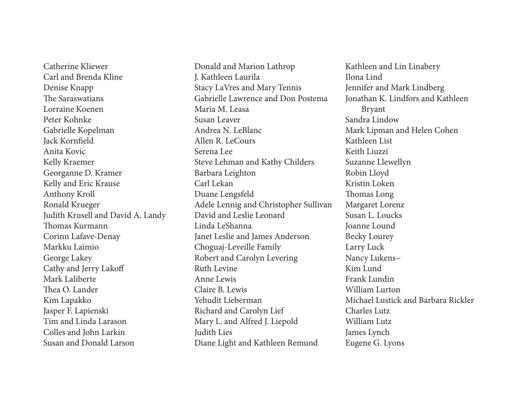Catherine Kliewer Carl and Brenda Kline Denise Knapp The Saraswatians Lorraine Koenen Peter Kohnke Gabrielle Kopelman Jack Kornfeld Anita Kovic Kelly Kraemer Georganne D. Kramer Kelly and Eric Krause Anthony Kroll Ronald Krueger Judith Krusell and David A. Landy Thomas Kurmann Corinn Lafave-Denay Markku Laimio George Lakey Cathy and Jerry Lakof Mark Laliberte Thea O. Lander Kim Lapakko Jasper F. Lapienski Tim and Linda Larason Colles and John Larkin Susan and Donald Larson

Donald and Marion Lathrop J. Kathleen Laurila Stacy LaVres and Mary Tennis Gabrielle Lawrence and Don Postema Maria M. Leasa Susan Leaver Andrea N. LeBlanc Allen R. LeCours Serena Lee Steve Lehman and Kathy Childers Barbara Leighton Carl Lekan Duane Lengsfeld Adele Lennig and Christopher Sullivan David and Leslie Leonard Linda LeShanna Janet Leslie and James Anderson Choguaj-Leveille Family Robert and Carolyn Levering Ruth Levine Anne Lewis Claire B. Lewis Yehudit Lieberman Richard and Carolyn Lief Mary L. and Alfred J. Liepold Judith Lies Diane Light and Kathleen Remund

Kathleen and Lin Linabery Ilona Lind Jennifer and Mark Lindberg Jonathan K. Lindfors and Kathleen Bryant Sandra Lindow Mark Lipman and Helen Cohen Kathleen List Keith Liuzzi Suzanne Llewellyn Robin Lloyd Kristin Loken Thomas Long Margaret Lorenz Susan L. Loucks Joanne Lound Becky Lourey Larry Luck Nancy Lukens~ Kim Lund Frank Lundin William Lurton Michael Lustick and Barbara Rickler Charles Lutz William Lutz James Lynch Eugene G. Lyons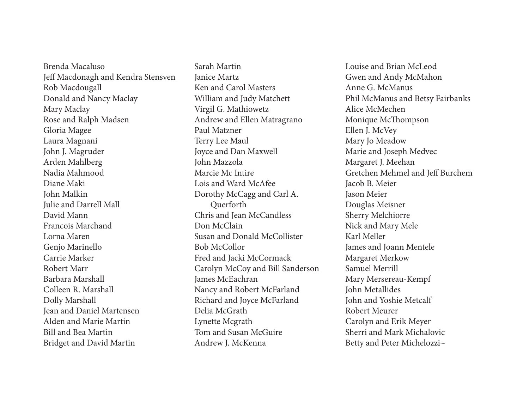Brenda Macaluso Jeff Macdonagh and Kendra Stensven Rob Macdougall Donald and Nancy Maclay Mary Maclay Rose and Ralph Madsen Gloria Magee Laura Magnani John J. Magruder Arden Mahlberg Nadia Mahmood Diane Maki John Malkin Julie and Darrell Mall David Mann Francois Marchand Lorna Maren Genjo Marinello Carrie Marker Robert Marr Barbara Marshall Colleen R. Marshall Dolly Marshall Jean and Daniel Martensen Alden and Marie Martin Bill and Bea Martin Bridget and David Martin

Sarah Martin Janice Martz Ken and Carol Masters William and Judy Matchett Virgil G. Mathiowetz Andrew and Ellen Matragrano Paul Matzner Terry Lee Maul Joyce and Dan Maxwell John Mazzola Marcie Mc Intire Lois and Ward McAfee Dorothy McCagg and Carl A. Querforth Chris and Jean McCandless Don McClain Susan and Donald McCollister Bob McCollor Fred and Jacki McCormack Carolyn McCoy and Bill Sanderson James McEachran Nancy and Robert McFarland Richard and Joyce McFarland Delia McGrath Lynette Mcgrath Tom and Susan McGuire Andrew J. McKenna

Louise and Brian McLeod Gwen and Andy McMahon Anne G. McManus Phil McManus and Betsy Fairbanks Alice McMechen Monique McThompson Ellen J. McVey Mary Jo Meadow Marie and Joseph Medvec Margaret J. Meehan Gretchen Mehmel and Jef Burchem Jacob B. Meier Jason Meier Douglas Meisner Sherry Melchiorre Nick and Mary Mele Karl Meller James and Joann Mentele Margaret Merkow Samuel Merrill Mary Mersereau-Kempf John Metallides John and Yoshie Metcalf Robert Meurer Carolyn and Erik Meyer Sherri and Mark Michalovic Betty and Peter Michelozzi~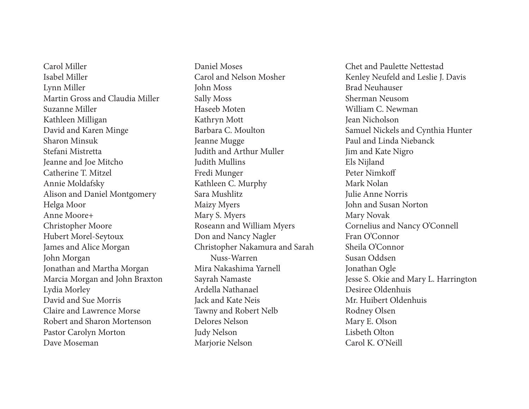Carol Miller Isabel Miller Lynn Miller Martin Gross and Claudia Miller Suzanne Miller Kathleen Milligan David and Karen Minge Sharon Minsuk Stefani Mistretta Jeanne and Joe Mitcho Catherine T. Mitzel Annie Moldafsky Alison and Daniel Montgomery Helga Moor Anne Moore+ Christopher Moore Hubert Morel-Seytoux James and Alice Morgan John Morgan Jonathan and Martha Morgan Marcia Morgan and John Braxton Lydia Morley David and Sue Morris Claire and Lawrence Morse Robert and Sharon Mortenson Pastor Carolyn Morton Dave Moseman

Daniel Moses Carol and Nelson Mosher John Moss Sally Moss Haseeb Moten Kathryn Mott Barbara C. Moulton Jeanne Mugge Judith and Arthur Muller Judith Mullins Fredi Munger Kathleen C. Murphy Sara Mushlitz Maizy Myers Mary S. Myers Roseann and William Myers Don and Nancy Nagler Christopher Nakamura and Sarah Nuss-Warren Mira Nakashima Yarnell Sayrah Namaste Ardella Nathanael Jack and Kate Neis Tawny and Robert Nelb Delores Nelson Judy Nelson Marjorie Nelson

Chet and Paulette Nettestad Kenley Neufeld and Leslie J. Davis Brad Neuhauser Sherman Neusom William C. Newman Jean Nicholson Samuel Nickels and Cynthia Hunter Paul and Linda Niebanck Jim and Kate Nigro Els Nijland Peter Nimkof Mark Nolan Julie Anne Norris John and Susan Norton Mary Novak Cornelius and Nancy O'Connell Fran O'Connor Sheila O'Connor Susan Oddsen Jonathan Ogle Jesse S. Okie and Mary L. Harrington Desiree Oldenhuis Mr. Huibert Oldenhuis Rodney Olsen Mary E. Olson Lisbeth Olton Carol K. O'Neill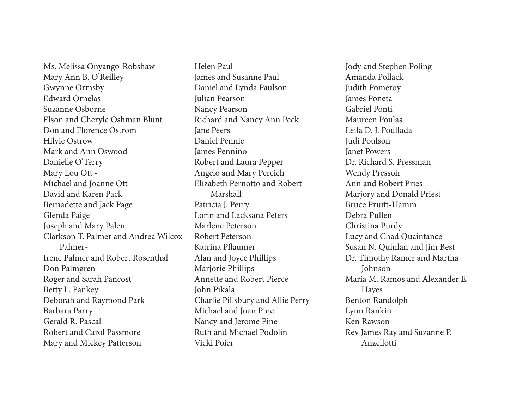Ms. Melissa Onyango-Robshaw Mary Ann B. O'Reilley Gwynne Ormsby Edward Ornelas Suzanne Osborne Elson and Cheryle Oshman Blunt Don and Florence Ostrom Hilvie Ostrow Mark and Ann Oswood Danielle O'Terry Mary Lou Ott~ Michael and Joanne Ott David and Karen Pack Bernadette and Jack Page Glenda Paige Joseph and Mary Palen Clarkson T. Palmer and Andrea Wilcox Palmer $\sim$ Irene Palmer and Robert Rosenthal Don Palmgren Roger and Sarah Pancost Betty L. Pankey Deborah and Raymond Park Barbara Parry Gerald R. Pascal Robert and Carol Passmore Mary and Mickey Patterson

Helen Paul James and Susanne Paul Daniel and Lynda Paulson Julian Pearson Nancy Pearson Richard and Nancy Ann Peck Jane Peers Daniel Pennie James Pennino Robert and Laura Pepper Angelo and Mary Percich Elizabeth Pernotto and Robert Marshall Patricia J. Perry Lorin and Lacksana Peters Marlene Peterson Robert Peterson Katrina Pfaumer Alan and Joyce Phillips Marjorie Phillips Annette and Robert Pierce John Pikala Charlie Pillsbury and Allie Perry Michael and Joan Pine Nancy and Jerome Pine Ruth and Michael Podolin Vicki Poier

Jody and Stephen Poling Amanda Pollack Judith Pomeroy James Poneta Gabriel Ponti Maureen Poulas Leila D. J. Poullada Judi Poulson Janet Powers Dr. Richard S. Pressman Wendy Pressoir Ann and Robert Pries Marjory and Donald Priest Bruce Pruitt-Hamm Debra Pullen Christina Purdy Lucy and Chad Quaintance Susan N. Quinlan and Jim Best Dr. Timothy Ramer and Martha Johnson Maria M. Ramos and Alexander E. Hayes Benton Randolph Lynn Rankin Ken Rawson Rev James Ray and Suzanne P. Anzellotti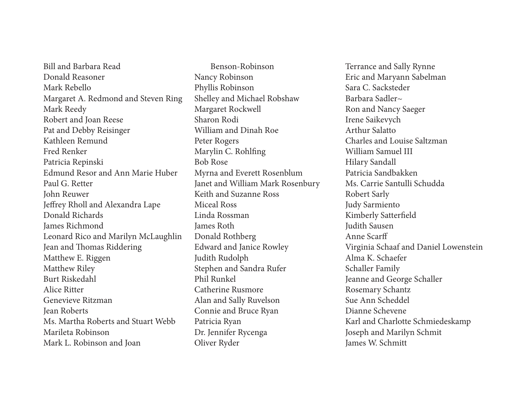Bill and Barbara Read Donald Reasoner Mark Rebello Margaret A. Redmond and Steven Ring Mark Reedy Robert and Joan Reese Pat and Debby Reisinger Kathleen Remund Fred Renker Patricia Repinski Edmund Resor and Ann Marie Huber Paul G. Retter John Reuwer Je frey Rholl and Alexandra Lape Donald Richards James Richmond Leonard Rico and Marilyn McLaughlin Jean and Thomas Riddering Matthew E. Riggen Matthew Riley Burt Riskedahl Alice Ritter Genevieve Ritzman Jean Roberts Ms. Martha Roberts and Stuart Webb Marileta Robinson Mark L. Robinson and Joan

 Benson-Robinson Nancy Robinson Phyllis Robinson Shelley and Michael Robshaw Margaret Rockwell Sharon Rodi William and Dinah Roe Peter Rogers Marylin C. Rohl fng Bob Rose Myrna and Everett Rosenblum Janet and William Mark Rosenbury Keith and Suzanne Ross Miceal Ross Linda Rossman James Roth Donald Rothberg Edward and Janice Rowley Judith Rudolph Stephen and Sandra Rufer Phil Runkel Catherine Rusmore Alan and Sally Ruvelson Connie and Bruce Ryan Patricia Ryan Dr. Jennifer Rycenga Oliver Ryder

Terrance and Sally Rynne Eric and Maryann Sabelman Sara C. Sacksteder Barbara Sadler~ Ron and Nancy Saeger Irene Saikevych Arthur Salatto Charles and Louise Saltzman William Samuel III Hilary Sandall Patricia Sandbakken Ms. Carrie Santulli Schudda Robert Sarly Judy Sarmiento Kimberly Satter feld Judith Sausen Anne Scar f Virginia Schaaf and Daniel Lowenstein Alma K. Schaefer Schaller Family Jeanne and George Schaller Rosemary Schantz Sue Ann Scheddel Dianne Schevene Karl and Charlotte Schmiedeskamp Joseph and Marilyn Schmit James W. Schmitt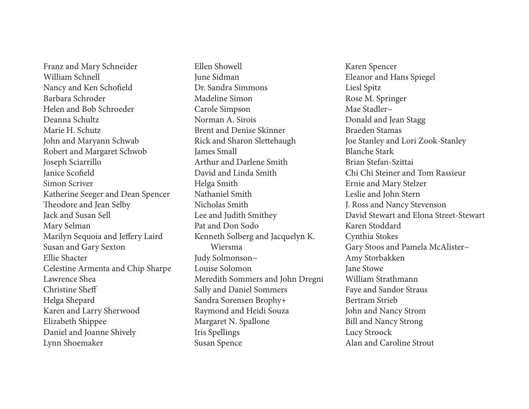Franz and Mary Schneider William Schnell Nancy and Ken Schofeld Barbara Schroder Helen and Bob Schroeder Deanna Schultz Marie H. Schutz John and Maryann Schwab Robert and Margaret Schwob Joseph Sciarrillo Janice Scofeld Simon Scriver Katherine Seeger and Dean Spencer Theodore and Jean Selby Jack and Susan Sell Mary Selman Marilyn Sequoia and Jefery Laird Susan and Gary Sexton Ellie Shacter Celestine Armenta and Chip Sharpe Lawrence Shea Christine Shef Helga Shepard Karen and Larry Sherwood Elizabeth Shippee Daniel and Joanne Shively Lynn Shoemaker

Ellen Showell June Sidman Dr. Sandra Simmons Madeline Simon Carole Simpson Norman A. Sirois Brent and Denise Skinner Rick and Sharon Slettehaugh James Small Arthur and Darlene Smith David and Linda Smith Helga Smith Nathaniel Smith Nicholas Smith Lee and Judith Smithey Pat and Don Sodo Kenneth Solberg and Jacquelyn K. Wiersma Judy Solmonson~ Louise Solomon Meredith Sommers and John Dregni Sally and Daniel Sommers Sandra Sorensen Brophy+ Raymond and Heidi Souza Margaret N. Spallone Iris Spellings Susan Spence

Karen Spencer Eleanor and Hans Spiegel Liesl Spitz Rose M. Springer Mae Stadler~ Donald and Jean Stagg Braeden Stamas Joe Stanley and Lori Zook-Stanley Blanche Stark Brian Stefan-Szittai Chi Chi Steiner and Tom Rassieur Ernie and Mary Stelzer Leslie and John Stern J. Ross and Nancy Stevenson David Stewart and Elona Street-Stewart Karen Stoddard Cynthia Stokes Gary Stoos and Pamela McAlister~ Amy Storbakken Jane Stowe William Strathmann Faye and Sandor Straus Bertram Strieb John and Nancy Strom Bill and Nancy Strong Lucy Stroock Alan and Caroline Strout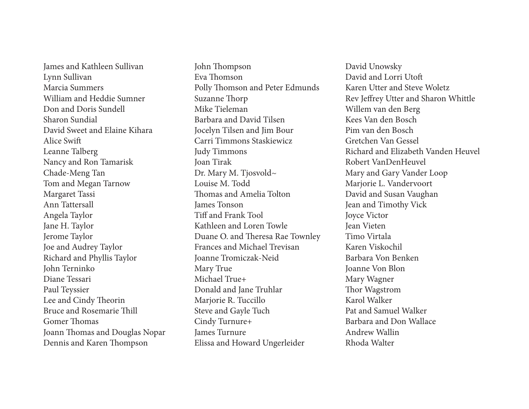James and Kathleen Sullivan Lynn Sullivan Marcia Summers William and Heddie Sumner Don and Doris Sundell Sharon Sundial David Sweet and Elaine Kihara Alice Swif Leanne Talberg Nancy and Ron Tamarisk Chade-Meng Tan Tom and Megan Tarnow Margaret Tassi Ann Tattersall Angela Taylor Jane H. Taylor Jerome Taylor Joe and Audrey Taylor Richard and Phyllis Taylor John Terninko Diane Tessari Paul Teyssier Lee and Cindy Theorin Bruce and Rosemarie Thill Gomer Thomas Joann Thomas and Douglas Nopar Dennis and Karen Thompson

John Thompson Eva Thomson Polly Thomson and Peter Edmunds Suzanne Thorp Mike Tieleman Barbara and David Tilsen Jocelyn Tilsen and Jim Bour Carri Timmons Staskiewicz Judy Timmons Joan Tirak Dr. Mary M. Tjosvold~ Louise M. Todd Thomas and Amelia Tolton James Tonson Tif and Frank Tool Kathleen and Loren Towle Duane O. and Theresa Rae Townley Frances and Michael Trevisan Joanne Tromiczak-Neid Mary True Michael True+ Donald and Jane Truhlar Marjorie R. Tuccillo Steve and Gayle Tuch Cindy Turnure+ James Turnure Elissa and Howard Ungerleider

David Unowsky David and Lorri Utof Karen Utter and Steve Woletz Rev Jefrey Utter and Sharon Whittle Willem van den Berg Kees Van den Bosch Pim van den Bosch Gretchen Van Gessel Richard and Elizabeth Vanden Heuvel Robert VanDenHeuvel Mary and Gary Vander Loop Marjorie L. Vandervoort David and Susan Vaughan Jean and Timothy Vick Joyce Victor Jean Vieten Timo Virtala Karen Viskochil Barbara Von Benken Joanne Von Blon Mary Wagner Thor Wagstrom Karol Walker Pat and Samuel Walker Barbara and Don Wallace Andrew Wallin Rhoda Walter